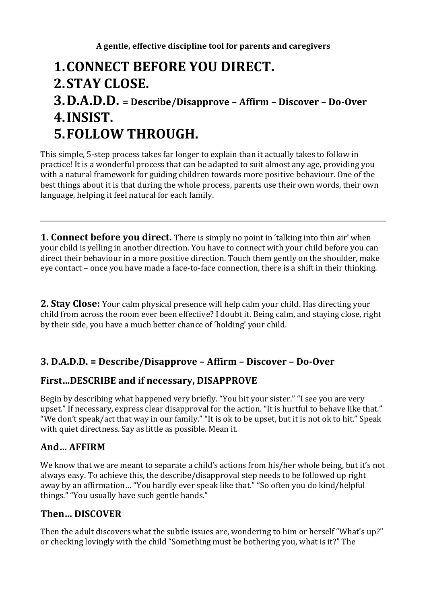# **1.CONNECT BEFORE YOU DIRECT. 2.STAY CLOSE.**

## **3.D.A.D.D. = Describe/Disapprove – Affirm – Discover – Do-Over 4.INSIST. 5.FOLLOW THROUGH.**

This simple, 5-step process takes far longer to explain than it actually takes to follow in practice! It is a wonderful process that can be adapted to suit almost any age, providing you with a natural framework for guiding children towards more positive behaviour. One of the best things about it is that during the whole process, parents use their own words, their own language, helping it feel natural for each family.

**1. Connect before you direct.** There is simply no point in 'talking into thin air' when your child is yelling in another direction. You have to connect with your child before you can direct their behaviour in a more positive direction. Touch them gently on the shoulder, make eye contact – once you have made a face-to-face connection, there is a shift in their thinking.

**2. Stay Close:** Your calm physical presence will help calm your child. Has directing your child from across the room ever been effective? I doubt it. Being calm, and staying close, right by their side, you have a much better chance of 'holding' your child.

### **3. D.A.D.D. = Describe/Disapprove – Affirm – Discover – Do-Over**

#### **First…DESCRIBE and if necessary, DISAPPROVE**

Begin by describing what happened very briefly. "You hit your sister." "I see you are very upset." If necessary, express clear disapproval for the action. "It is hurtful to behave like that." "We don't speak/act that way in our family." "It is ok to be upset, but it is not ok to hit." Speak with quiet directness. Say as little as possible. Mean it.

#### **And… AFFIRM**

We know that we are meant to separate a child's actions from his/her whole being, but it's not always easy. To achieve this, the describe/disapproval step needs to be followed up right away by an affirmation… "You hardly ever speak like that." "So often you do kind/helpful things." "You usually have such gentle hands."

#### **Then… DISCOVER**

Then the adult discovers what the subtle issues are, wondering to him or herself "What's up?" or checking lovingly with the child "Something must be bothering you, what is it?" The